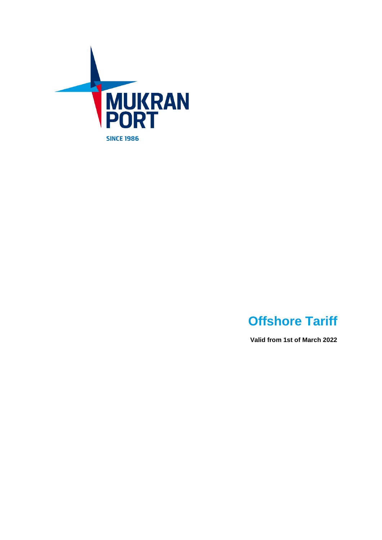

# **Offshore Tariff**

**Valid from 1st of March 2022**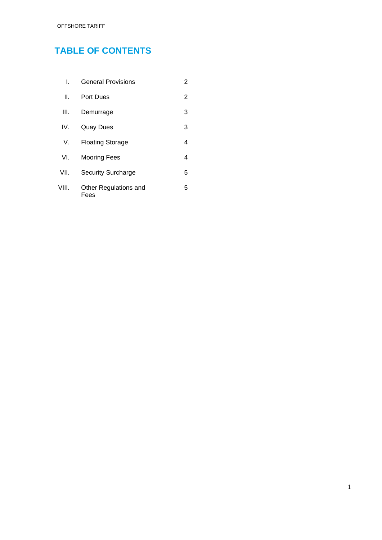# **TABLE OF CONTENTS**

| L.    | <b>General Provisions</b>     | 2 |
|-------|-------------------------------|---|
| Ш.    | <b>Port Dues</b>              | 2 |
| III.  | Demurrage                     | 3 |
| IV.   | <b>Quay Dues</b>              | 3 |
| V.    | <b>Floating Storage</b>       | 4 |
| VI.   | <b>Mooring Fees</b>           | 4 |
| VII.  | <b>Security Surcharge</b>     | 5 |
| VIII. | Other Regulations and<br>Fees | 5 |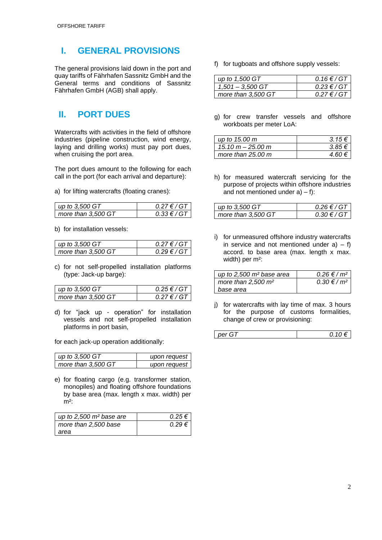## **I. GENERAL PROVISIONS**

The general provisions laid down in the port and quay tariffs of Fährhafen Sassnitz GmbH and the General terms and conditions of Sassnitz Fährhafen GmbH (AGB) shall apply.

## **II. PORT DUES**

Watercrafts with activities in the field of offshore industries (pipeline construction, wind energy, laying and drilling works) must pay port dues, when cruising the port area.

The port dues amount to the following for each call in the port (for each arrival and departure):

a) for lifting watercrafts (floating cranes):

| up to 3,500 GT     | $0.27 \in / G$ T |
|--------------------|------------------|
| more than 3,500 GT | $0.33 \in / G$ T |

b) for installation vessels:

| up to $3,500$ GT          | $0.27 \in G$ /GT |
|---------------------------|------------------|
| $\mid$ more than 3,500 GT | $0.29 \in / G$ T |

c) for not self-propelled installation platforms (type: Jack-up barge):

| up to 3,500 GT     | $0.25 \in G$ /GT |
|--------------------|------------------|
| more than 3,500 GT | $0.27 \in G$ /GT |

d) for "jack up - operation" for installation vessels and not self-propelled installation platforms in port basin,

for each jack-up operation additionally:

| up to 3,500 GT     | upon request |
|--------------------|--------------|
| more than 3,500 GT | upon request |

e) for floating cargo (e.g. transformer station, monopiles) and floating offshore foundations by base area (max. length x max. width) per  $m<sup>2</sup>$ :

| up to $2,500$ m <sup>2</sup> base are | $0.25 \in$ |
|---------------------------------------|------------|
| more than 2,500 base                  | $0.29 \in$ |
| area                                  |            |

f) for tugboats and offshore supply vessels:

| up to 1,500 GT     | $0.16 \in / GT$                   |
|--------------------|-----------------------------------|
| $1.501 - 3.500$ GT | $0.23 \text{ } \in / \text{ } GT$ |
| more than 3,500 GT | $0.27 \in / G$ T                  |

g) for crew transfer vessels and offshore workboats per meter LoA:

| up to 15.00 m               | $3.15 \in$ |
|-----------------------------|------------|
| $15.10 m - 25.00 m$         | $385 \in$  |
| more than $25.00 \text{ m}$ | 4 60 €     |

h) for measured watercraft servicing for the purpose of projects within offshore industries and not mentioned under  $a$ ) – f):

| up to 3,500 GT     | $0.26 \in 7$ GT |
|--------------------|-----------------|
| more than 3,500 GT | $0.30 \in 7$ GT |

i) for unmeasured offshore industry watercrafts in service and not mentioned under  $a$ ) – f) accord. to base area (max. length x max. width) per m²:

| up to $2,500$ m <sup>2</sup> base area | $0.26 \in / m^2$    |
|----------------------------------------|---------------------|
| more than $2,500 \text{ m}^2$          | $0.30 \notin / m^2$ |
| base area                              |                     |

j) for watercrafts with lay time of max. 3 hours for the purpose of customs formalities, change of crew or provisioning:

| per<br>$\sim$ | v. |
|---------------|----|
|---------------|----|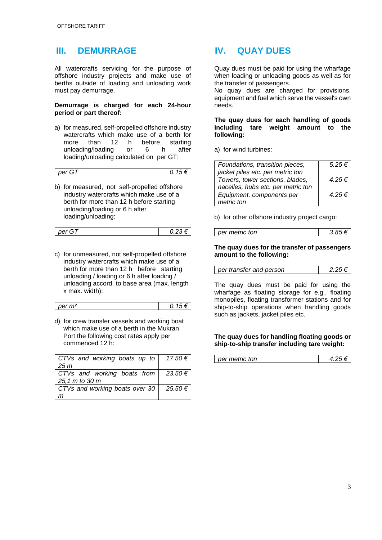### **III. DEMURRAGE**

All watercrafts servicing for the purpose of offshore industry projects and make use of berths outside of loading and unloading work must pay demurrage.

#### **Demurrage is charged for each 24-hour period or part thereof:**

a) for measured, self-propelled offshore industry watercrafts which make use of a berth for more than 12 h before starting unloading/loading or 6 h after loading/unloading calculated on per GT:

| per | υ. |
|-----|----|
| ৲   |    |
|     |    |

b) for measured, not self-propelled offshore industry watercrafts which make use of a berth for more than 12 h before starting unloading/loading or 6 h after loading/unloading:

| per<br>- | $\cup$ . $\sim$ |
|----------|-----------------|

c) for unmeasured, not self-propelled offshore industry watercrafts which make use of a berth for more than 12 h before starting unloading / loading or 6 h after loading / unloading accord. to base area (max. length x max. width):

| per m <sup>2</sup> | U.I |
|--------------------|-----|
|                    | ◡   |
|                    |     |

d) for crew transfer vessels and working boat which make use of a berth in the Mukran Port the following cost rates apply per commenced 12 h:

| CTVs and working boats up to   17.50 $\epsilon$ |         |
|-------------------------------------------------|---------|
| 25 <sub>m</sub>                                 |         |
| CTVs and working boats from   23.50 $\epsilon$  |         |
| 25,1 m to 30 m                                  |         |
| CTVs and working boats over 30                  | 25.50 € |
|                                                 |         |

### **IV. QUAY DUES**

Quay dues must be paid for using the wharfage when loading or unloading goods as well as for the transfer of passengers.

No quay dues are charged for provisions, equipment and fuel which serve the vessel's own needs.

#### **The quay dues for each handling of goods including tare weight amount to the following:**

a) for wind turbines:

| Foundations, transition pieces,    | $5.25 \in$ |
|------------------------------------|------------|
| jacket piles etc. per metric ton   |            |
| Towers, tower sections, blades,    | $4.25 \in$ |
| nacelles, hubs etc. per metric ton |            |
| Equipment, components per          | $4.25 \in$ |
| metric ton                         |            |

b) for other offshore industry project cargo:

| per metric ton | 3.85 $\epsilon$ |
|----------------|-----------------|
|                |                 |

#### **The quay dues for the transfer of passengers amount to the following:**

| per transfer and person |
|-------------------------|
|-------------------------|

The quay dues must be paid for using the wharfage as floating storage for e.g., floating monopiles, floating transformer stations and for ship-to-ship operations when handling goods such as jackets, jacket piles etc.

#### **The quay dues for handling floating goods or ship-to-ship transfer including tare weight:**

| per metric ton | 4.25 f |
|----------------|--------|
|----------------|--------|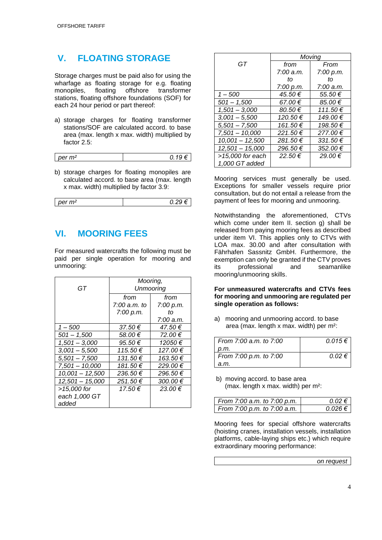### **V. FLOATING STORAGE**

Storage charges must be paid also for using the wharfage as floating storage for e.g. floating<br>monopiles, floating offshore transformer monopiles, floating offshore transformer stations, floating offshore foundations (SOF) for each 24 hour period or part thereof:

a) storage charges for floating transformer stations/SOF are calculated accord. to base area (max. length x max. width) multiplied by factor 2.5:

| $per \, m2$ |  |
|-------------|--|
|             |  |

b) storage charges for floating monopiles are calculated accord. to base area (max. length x max. width) multiplied by factor 3.9:

| per m <sup>2</sup> |  |
|--------------------|--|
|                    |  |

### **VI. MOORING FEES**

For measured watercrafts the following must be paid per single operation for mooring and unmooring:

| GT                | Mooring,<br><b>Unmooring</b> |           |
|-------------------|------------------------------|-----------|
|                   |                              |           |
|                   | from                         | from      |
|                   | 7:00 a.m. to                 | 7:00 p.m. |
|                   | 7:00 p.m.                    | tΩ        |
|                   |                              | 7:00 a.m. |
| $1 - 500$         | 37.50€                       | 47.50€    |
| $501 - 1,500$     | 58.00€                       | 72.00 €   |
| $1,501 - 3,000$   | 95.50€                       | 12050€    |
| $3.001 - 5.500$   | 115.50€                      | 127.00€   |
| $5,501 - 7,500$   | 131.50€                      | 163.50 €  |
| 7,501 - 10,000    | 181.50 €                     | 229.00 €  |
| $10,001 - 12,500$ | 236.50 €                     | 296.50€   |
| $12,501 - 15,000$ | 251.50€                      | 300.00 €  |
| >15,000 for       | 17.50€                       | 23.00€    |
| each 1,000 GT     |                              |           |
| added             |                              |           |

|                   | Moving    |              |
|-------------------|-----------|--------------|
| GT                | from      | From         |
|                   | 7:00 a.m. | 7:00 p.m.    |
|                   | tΩ        | tΩ           |
|                   | 7:00 p.m. | 7:00 a.m.    |
| 1 – 500           | 45.50€    | 55.50€       |
| $501 - 1,500$     | 67.00€    | 85.00€       |
| $1,501 - 3,000$   | 80.50€    | 111.50€      |
| $3,001 - 5,500$   | 120.50€   | 149.00 €     |
| $5,501 - 7,500$   | 161.50€   | 198.50€      |
| $7,501 - 10,000$  | 221.50€   | 277.00€      |
| $10,001 - 12,500$ | 281.50€   | $331.50 \in$ |
| $12,501 - 15,000$ | 296.50€   | 352.00 €     |
| >15,000 for each  | 22.50€    | 29.00€       |
| 1,000 GT added    |           |              |

Mooring services must generally be used. Exceptions for smaller vessels require prior consultation, but do not entail a release from the payment of fees for mooring and unmooring.

Notwithstanding the aforementioned, CTVs which come under item II. section g) shall be released from paying mooring fees as described under item VI. This applies only to CTVs with LOA max. 30.00 and after consultation with Fährhafen Sassnitz GmbH. Furthermore, the exemption can only be granted if the CTV proves its professional and seamanlike mooring/unmooring skills.

#### **For unmeasured watercrafts and CTVs fees for mooring and unmooring are regulated per single operation as follows:**

a) mooring and unmooring accord. to base area (max. length x max. width) per m²:

| From 7:00 a.m. to 7:00 | $0.015 \in$ |
|------------------------|-------------|
| p.m.                   |             |
| From 7:00 p.m. to 7:00 | $0.02 \in$  |
| a.m.                   |             |

b) moving accord. to base area (max. length x max. width) per m²:

| From 7:00 a.m. to 7:00 p.m. | $0.02 \in$  |
|-----------------------------|-------------|
| From 7:00 p.m. to 7:00 a.m. | $0.026 \in$ |

Mooring fees for special offshore watercrafts (hoisting cranes, installation vessels, installation platforms, cable-laying ships etc.) which require extraordinary mooring performance:

*on request*